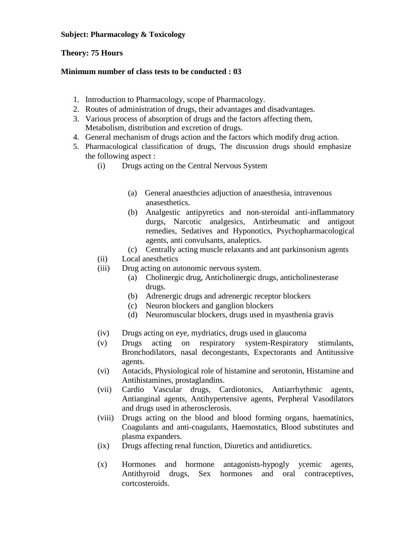## **Subject: Pharmacology & Toxicology**

## **Theory: 75 Hours**

## **Minimum number of class tests to be conducted : 03**

- 1. Introduction to Pharmacology, scope of Pharmacology.
- 2. Routes of administration of drugs, their advantages and disadvantages.
- 3. Various process of absorption of drugs and the factors affecting them, Metabolism, distribution and excretion of drugs.
- 4. General mechanism of drugs action and the factors which modify drug action.
- 5. Pharmacological classification of drugs, The discussion drugs should emphasize the following aspect :
	- (i) Drugs acting on the Central Nervous System
		- (a) General anaesthcies adjuction of anaesthesia, intravenous anasesthetics.
		- (b) Analgestic antipyretics and non-steroidal anti-inflammatory durgs, Narcotic analgesics, Antirheumatic and antigout remedies, Sedatives and Hyponotics, Psychopharmacological agents, anti convulsants, analeptics.
		- (c) Centrally acting muscle relaxants and ant parkinsonism agents
	- (ii) Local anesthetics
	- (iii) Drug acting on autonomic nervous system.
		- (a) Cholinergic drug, Anticholinergic drugs, anticholinesterase drugs.
		- (b) Adrenergic drugs and adrenergic receptor blockers
		- (c) Neuron blockers and ganglion blockers
		- (d) Neuromuscular blockers, drugs used in myasthenia gravis
	- (iv) Drugs acting on eye, mydriatics, drugs used in glaucoma
	- (v) Drugs acting on respiratory system-Respiratory stimulants, Bronchodilators, nasal decongestants, Expectorants and Antitussive agents.
	- (vi) Antacids, Physiological role of histamine and serotonin, Histamine and Antihistamines, prostaglandins.
	- (vii) Cardio Vascular drugs, Cardiotonics, Antiarrhythmic agents, Antianginal agents, Antihypertensive agents, Perpheral Vasodilators and drugs used in atherosclerosis.
	- (viii) Drugs acting on the blood and blood forming organs, haematinics, Coagulants and anti-coagulants, Haemostatics, Blood substitutes and plasma expanders.
	- (ix) Drugs affecting renal function, Diuretics and antidiuretics.
	- (x) Hormones and hormone antagonists-hypogly ycemic agents, Antithyroid drugs, Sex hormones and oral contraceptives, cortcosteroids.